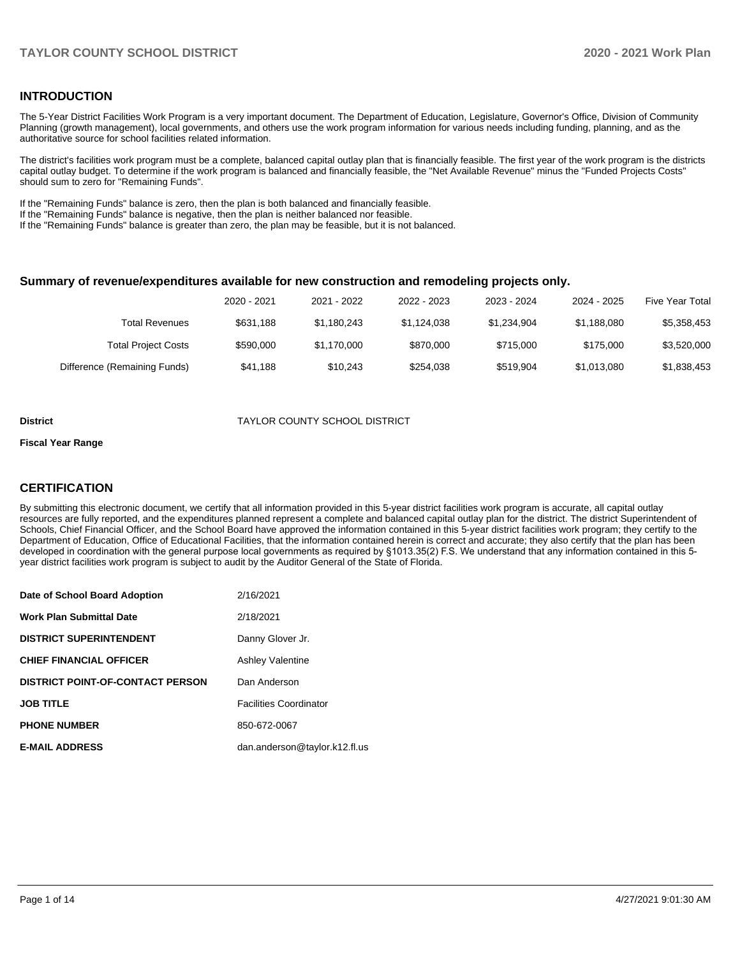## **INTRODUCTION**

The 5-Year District Facilities Work Program is a very important document. The Department of Education, Legislature, Governor's Office, Division of Community Planning (growth management), local governments, and others use the work program information for various needs including funding, planning, and as the authoritative source for school facilities related information.

The district's facilities work program must be a complete, balanced capital outlay plan that is financially feasible. The first year of the work program is the districts capital outlay budget. To determine if the work program is balanced and financially feasible, the "Net Available Revenue" minus the "Funded Projects Costs" should sum to zero for "Remaining Funds".

If the "Remaining Funds" balance is zero, then the plan is both balanced and financially feasible.

If the "Remaining Funds" balance is negative, then the plan is neither balanced nor feasible.

If the "Remaining Funds" balance is greater than zero, the plan may be feasible, but it is not balanced.

#### **Summary of revenue/expenditures available for new construction and remodeling projects only.**

| <b>Five Year Total</b> | 2024 - 2025 | 2023 - 2024 | 2022 - 2023 | 2021 - 2022 | 2020 - 2021 |                              |
|------------------------|-------------|-------------|-------------|-------------|-------------|------------------------------|
| \$5,358,453            | \$1,188,080 | \$1.234.904 | \$1.124.038 | \$1,180,243 | \$631.188   | Total Revenues               |
| \$3,520,000            | \$175,000   | \$715,000   | \$870,000   | \$1.170.000 | \$590,000   | <b>Total Project Costs</b>   |
| \$1,838,453            | \$1.013.080 | \$519.904   | \$254.038   | \$10.243    | \$41.188    | Difference (Remaining Funds) |

#### **District District TAYLOR COUNTY SCHOOL DISTRICT**

#### **Fiscal Year Range**

## **CERTIFICATION**

By submitting this electronic document, we certify that all information provided in this 5-year district facilities work program is accurate, all capital outlay resources are fully reported, and the expenditures planned represent a complete and balanced capital outlay plan for the district. The district Superintendent of Schools, Chief Financial Officer, and the School Board have approved the information contained in this 5-year district facilities work program; they certify to the Department of Education, Office of Educational Facilities, that the information contained herein is correct and accurate; they also certify that the plan has been developed in coordination with the general purpose local governments as required by §1013.35(2) F.S. We understand that any information contained in this 5 year district facilities work program is subject to audit by the Auditor General of the State of Florida.

| Date of School Board Adoption           | 2/16/2021                     |
|-----------------------------------------|-------------------------------|
| <b>Work Plan Submittal Date</b>         | 2/18/2021                     |
| <b>DISTRICT SUPERINTENDENT</b>          | Danny Glover Jr.              |
| <b>CHIEF FINANCIAL OFFICER</b>          | <b>Ashley Valentine</b>       |
| <b>DISTRICT POINT-OF-CONTACT PERSON</b> | Dan Anderson                  |
| <b>JOB TITLE</b>                        | <b>Facilities Coordinator</b> |
| <b>PHONE NUMBER</b>                     | 850-672-0067                  |
| <b>E-MAIL ADDRESS</b>                   | dan.anderson@taylor.k12.fl.us |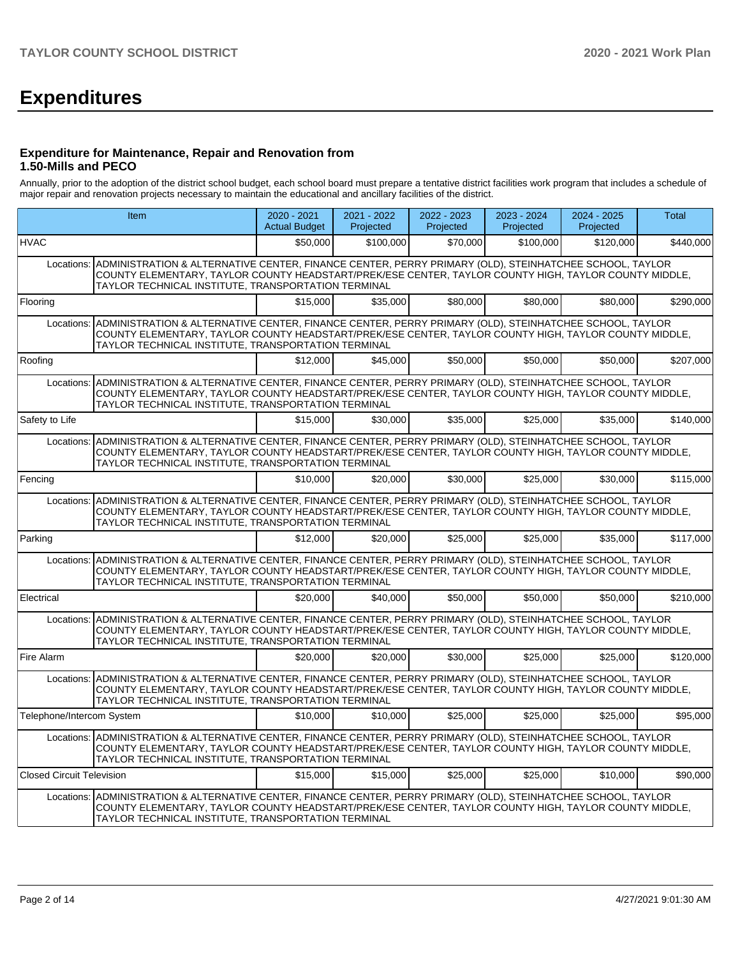# **Expenditures**

### **Expenditure for Maintenance, Repair and Renovation from 1.50-Mills and PECO**

Annually, prior to the adoption of the district school budget, each school board must prepare a tentative district facilities work program that includes a schedule of major repair and renovation projects necessary to maintain the educational and ancillary facilities of the district.

|                                  | <b>Item</b>                                                                                                                                                                                                                                                                      | $2020 - 2021$<br><b>Actual Budget</b> | 2021 - 2022<br>Projected | 2022 - 2023<br>Projected | 2023 - 2024<br>Projected | $2024 - 2025$<br>Projected | <b>Total</b> |  |  |
|----------------------------------|----------------------------------------------------------------------------------------------------------------------------------------------------------------------------------------------------------------------------------------------------------------------------------|---------------------------------------|--------------------------|--------------------------|--------------------------|----------------------------|--------------|--|--|
| <b>HVAC</b>                      |                                                                                                                                                                                                                                                                                  | \$50,000                              | \$100,000                | \$70,000                 | \$100,000                | \$120,000                  | \$440,000    |  |  |
| Locations:                       | ADMINISTRATION & ALTERNATIVE CENTER, FINANCE CENTER, PERRY PRIMARY (OLD), STEINHATCHEE SCHOOL, TAYLOR<br>COUNTY ELEMENTARY, TAYLOR COUNTY HEADSTART/PREK/ESE CENTER, TAYLOR COUNTY HIGH, TAYLOR COUNTY MIDDLE,<br>TAYLOR TECHNICAL INSTITUTE, TRANSPORTATION TERMINAL            |                                       |                          |                          |                          |                            |              |  |  |
| Flooring                         |                                                                                                                                                                                                                                                                                  | \$15,000                              | \$35,000                 | \$80,000                 | \$80,000                 | \$80,000                   | \$290.000    |  |  |
|                                  | Locations: ADMINISTRATION & ALTERNATIVE CENTER, FINANCE CENTER, PERRY PRIMARY (OLD), STEINHATCHEE SCHOOL, TAYLOR<br>COUNTY ELEMENTARY, TAYLOR COUNTY HEADSTART/PREK/ESE CENTER, TAYLOR COUNTY HIGH, TAYLOR COUNTY MIDDLE,<br>TAYLOR TECHNICAL INSTITUTE, TRANSPORTATION TERMINAL |                                       |                          |                          |                          |                            |              |  |  |
| Roofing                          |                                                                                                                                                                                                                                                                                  | \$12,000                              | \$45.000                 | \$50,000                 | \$50,000                 | \$50,000                   | \$207,000    |  |  |
|                                  | Locations: ADMINISTRATION & ALTERNATIVE CENTER, FINANCE CENTER, PERRY PRIMARY (OLD), STEINHATCHEE SCHOOL, TAYLOR<br>COUNTY ELEMENTARY, TAYLOR COUNTY HEADSTART/PREK/ESE CENTER, TAYLOR COUNTY HIGH, TAYLOR COUNTY MIDDLE,<br>TAYLOR TECHNICAL INSTITUTE, TRANSPORTATION TERMINAL |                                       |                          |                          |                          |                            |              |  |  |
| Safety to Life                   |                                                                                                                                                                                                                                                                                  | \$15,000                              | \$30,000                 | \$35,000                 | \$25,000                 | \$35,000                   | \$140,000    |  |  |
|                                  | Locations: ADMINISTRATION & ALTERNATIVE CENTER, FINANCE CENTER, PERRY PRIMARY (OLD), STEINHATCHEE SCHOOL, TAYLOR<br>COUNTY ELEMENTARY, TAYLOR COUNTY HEADSTART/PREK/ESE CENTER, TAYLOR COUNTY HIGH, TAYLOR COUNTY MIDDLE,<br>TAYLOR TECHNICAL INSTITUTE, TRANSPORTATION TERMINAL |                                       |                          |                          |                          |                            |              |  |  |
| Fencing                          |                                                                                                                                                                                                                                                                                  | \$10,000                              | \$20,000                 | \$30,000                 | \$25,000                 | \$30,000                   | \$115,000    |  |  |
|                                  | Locations: ADMINISTRATION & ALTERNATIVE CENTER, FINANCE CENTER, PERRY PRIMARY (OLD), STEINHATCHEE SCHOOL, TAYLOR<br>COUNTY ELEMENTARY, TAYLOR COUNTY HEADSTART/PREK/ESE CENTER, TAYLOR COUNTY HIGH, TAYLOR COUNTY MIDDLE,<br>TAYLOR TECHNICAL INSTITUTE, TRANSPORTATION TERMINAL |                                       |                          |                          |                          |                            |              |  |  |
| Parking                          |                                                                                                                                                                                                                                                                                  | \$12,000                              | \$20,000                 | \$25,000                 | \$25,000                 | \$35,000                   | \$117,000    |  |  |
| Locations:                       | ADMINISTRATION & ALTERNATIVE CENTER, FINANCE CENTER, PERRY PRIMARY (OLD), STEINHATCHEE SCHOOL, TAYLOR<br>COUNTY ELEMENTARY, TAYLOR COUNTY HEADSTART/PREK/ESE CENTER, TAYLOR COUNTY HIGH, TAYLOR COUNTY MIDDLE,<br>TAYLOR TECHNICAL INSTITUTE, TRANSPORTATION TERMINAL            |                                       |                          |                          |                          |                            |              |  |  |
| Electrical                       |                                                                                                                                                                                                                                                                                  | \$20,000                              | \$40,000                 | \$50,000                 | \$50,000                 | \$50,000                   | \$210,000    |  |  |
|                                  | Locations: ADMINISTRATION & ALTERNATIVE CENTER, FINANCE CENTER, PERRY PRIMARY (OLD), STEINHATCHEE SCHOOL, TAYLOR<br>COUNTY ELEMENTARY, TAYLOR COUNTY HEADSTART/PREK/ESE CENTER, TAYLOR COUNTY HIGH, TAYLOR COUNTY MIDDLE,<br>TAYLOR TECHNICAL INSTITUTE, TRANSPORTATION TERMINAL |                                       |                          |                          |                          |                            |              |  |  |
| Fire Alarm                       |                                                                                                                                                                                                                                                                                  | \$20,000                              | \$20,000                 | \$30,000                 | \$25,000                 | \$25,000                   | \$120,000    |  |  |
| Locations:                       | ADMINISTRATION & ALTERNATIVE CENTER, FINANCE CENTER, PERRY PRIMARY (OLD), STEINHATCHEE SCHOOL, TAYLOR<br>COUNTY ELEMENTARY, TAYLOR COUNTY HEADSTART/PREK/ESE CENTER, TAYLOR COUNTY HIGH, TAYLOR COUNTY MIDDLE,<br>TAYLOR TECHNICAL INSTITUTE, TRANSPORTATION TERMINAL            |                                       |                          |                          |                          |                            |              |  |  |
| Telephone/Intercom System        |                                                                                                                                                                                                                                                                                  | \$10,000                              | \$10,000                 | \$25,000                 | \$25,000                 | \$25,000                   | \$95,000     |  |  |
|                                  | Locations: ADMINISTRATION & ALTERNATIVE CENTER, FINANCE CENTER, PERRY PRIMARY (OLD), STEINHATCHEE SCHOOL, TAYLOR<br>COUNTY ELEMENTARY, TAYLOR COUNTY HEADSTART/PREK/ESE CENTER, TAYLOR COUNTY HIGH, TAYLOR COUNTY MIDDLE,<br>TAYLOR TECHNICAL INSTITUTE, TRANSPORTATION TERMINAL |                                       |                          |                          |                          |                            |              |  |  |
| <b>Closed Circuit Television</b> |                                                                                                                                                                                                                                                                                  | \$15,000                              | \$15,000                 | \$25,000                 | \$25,000                 | \$10,000                   | \$90,000     |  |  |
|                                  | Locations: ADMINISTRATION & ALTERNATIVE CENTER, FINANCE CENTER, PERRY PRIMARY (OLD), STEINHATCHEE SCHOOL, TAYLOR<br>COUNTY ELEMENTARY, TAYLOR COUNTY HEADSTART/PREK/ESE CENTER, TAYLOR COUNTY HIGH, TAYLOR COUNTY MIDDLE,<br>TAYLOR TECHNICAL INSTITUTE, TRANSPORTATION TERMINAL |                                       |                          |                          |                          |                            |              |  |  |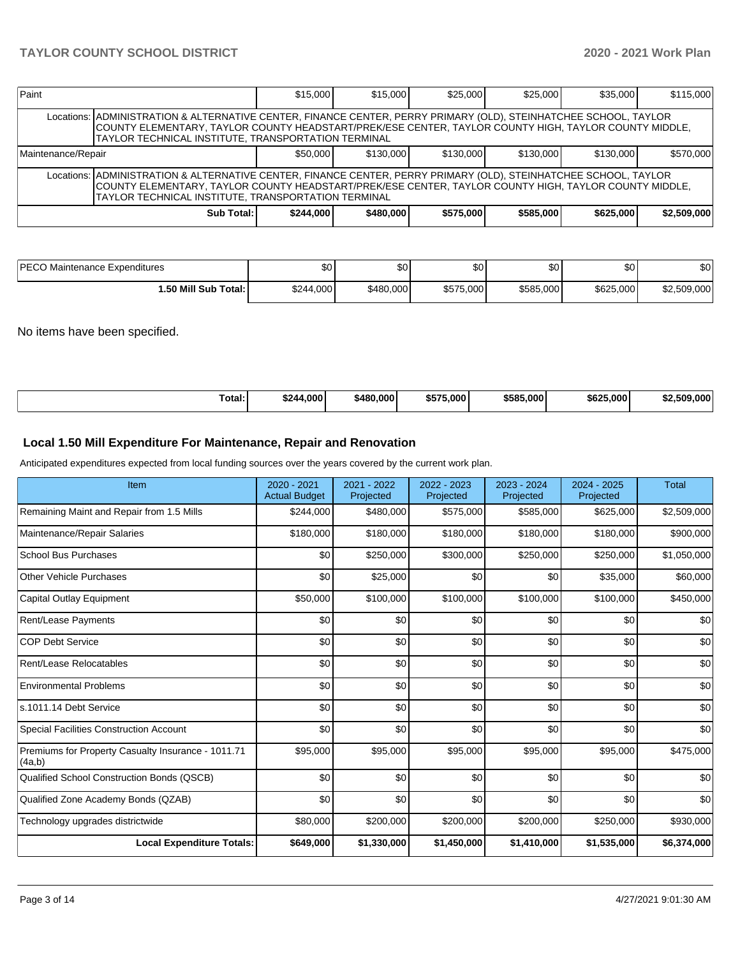| Paint                                                                                                                                                                                                                                                                              |                                                                                                                                                                                                                                                                                    | \$15,000 | \$15,000 | \$25,000 | \$25,000 | \$35,000  | \$115,000 |  |  |  |
|------------------------------------------------------------------------------------------------------------------------------------------------------------------------------------------------------------------------------------------------------------------------------------|------------------------------------------------------------------------------------------------------------------------------------------------------------------------------------------------------------------------------------------------------------------------------------|----------|----------|----------|----------|-----------|-----------|--|--|--|
|                                                                                                                                                                                                                                                                                    | Locations:   ADMINISTRATION & ALTERNATIVE CENTER, FINANCE CENTER, PERRY PRIMARY (OLD), STEINHATCHEE SCHOOL, TAYLOR<br>COUNTY ELEMENTARY, TAYLOR COUNTY HEADSTART/PREK/ESE CENTER, TAYLOR COUNTY HIGH, TAYLOR COUNTY MIDDLE,<br>TAYLOR TECHNICAL INSTITUTE, TRANSPORTATION TERMINAL |          |          |          |          |           |           |  |  |  |
| \$50,000<br>\$130,000<br>\$130,000<br>\$130,000<br>Maintenance/Repair                                                                                                                                                                                                              |                                                                                                                                                                                                                                                                                    |          |          |          |          | \$130,000 | \$570,000 |  |  |  |
| Locations:   ADMINISTRATION & ALTERNATIVE CENTER, FINANCE CENTER, PERRY PRIMARY (OLD), STEINHATCHEE SCHOOL, TAYLOR<br>COUNTY ELEMENTARY, TAYLOR COUNTY HEADSTART/PREK/ESE CENTER, TAYLOR COUNTY HIGH, TAYLOR COUNTY MIDDLE,<br>TAYLOR TECHNICAL INSTITUTE, TRANSPORTATION TERMINAL |                                                                                                                                                                                                                                                                                    |          |          |          |          |           |           |  |  |  |
| \$575,000<br>\$244,000<br>\$480,000<br>\$585,000<br>\$625,000<br>\$2,509,000<br>Sub Total:                                                                                                                                                                                         |                                                                                                                                                                                                                                                                                    |          |          |          |          |           |           |  |  |  |

| <b>PECO</b><br>Maintenance Expenditures | ሖጣ<br>Ψ∪  | ا 30      | ሰሰ<br>ມປ  | ሶስ<br>DU. | ሶሳ<br>υU  | \$0         |
|-----------------------------------------|-----------|-----------|-----------|-----------|-----------|-------------|
| 1.50 Mill Sub Total:                    | \$244,000 | \$480,000 | \$575,000 | \$585,000 | \$625,000 | \$2,509,000 |

No items have been specified.

| ⊺otal: | $+000'$<br>\$244 | \$480,000 | 5.000<br>\$575. | \$585,000 | \$625,000 | 2.509.000 |
|--------|------------------|-----------|-----------------|-----------|-----------|-----------|
|--------|------------------|-----------|-----------------|-----------|-----------|-----------|

## **Local 1.50 Mill Expenditure For Maintenance, Repair and Renovation**

Anticipated expenditures expected from local funding sources over the years covered by the current work plan.

| Item                                                         | 2020 - 2021<br><b>Actual Budget</b> | 2021 - 2022<br>Projected | 2022 - 2023<br>Projected | 2023 - 2024<br>Projected | 2024 - 2025<br>Projected | <b>Total</b> |
|--------------------------------------------------------------|-------------------------------------|--------------------------|--------------------------|--------------------------|--------------------------|--------------|
| Remaining Maint and Repair from 1.5 Mills                    | \$244,000                           | \$480,000                | \$575,000                | \$585,000                | \$625,000                | \$2,509,000  |
| Maintenance/Repair Salaries                                  | \$180,000                           | \$180,000                | \$180,000                | \$180,000                | \$180,000                | \$900,000    |
| <b>School Bus Purchases</b>                                  | \$0                                 | \$250,000                | \$300,000                | \$250,000                | \$250,000                | \$1,050,000  |
| <b>Other Vehicle Purchases</b>                               | \$0                                 | \$25,000                 | \$0                      | \$0                      | \$35,000                 | \$60,000     |
| <b>Capital Outlay Equipment</b>                              | \$50,000                            | \$100,000                | \$100,000                | \$100,000                | \$100,000                | \$450,000    |
| <b>Rent/Lease Payments</b>                                   | \$0                                 | \$0                      | \$0                      | \$0                      | \$0                      | \$0          |
| <b>COP Debt Service</b>                                      | \$0                                 | \$0                      | \$0                      | \$0                      | \$0                      | \$0          |
| Rent/Lease Relocatables                                      | \$0                                 | \$0                      | \$0                      | \$0                      | \$0                      | \$0          |
| <b>Environmental Problems</b>                                | \$0                                 | \$0                      | \$0                      | \$0                      | \$0                      | \$0          |
| s.1011.14 Debt Service                                       | \$0                                 | \$0                      | \$0                      | \$0                      | \$0                      | \$0          |
| <b>Special Facilities Construction Account</b>               | \$0                                 | \$0                      | \$0                      | \$0                      | \$0                      | \$0          |
| Premiums for Property Casualty Insurance - 1011.71<br>(4a,b) | \$95,000                            | \$95,000                 | \$95,000                 | \$95,000                 | \$95,000                 | \$475,000    |
| Qualified School Construction Bonds (QSCB)                   | \$0                                 | \$0                      | \$0                      | \$0                      | \$0                      | \$0          |
| Qualified Zone Academy Bonds (QZAB)                          | \$0                                 | \$0                      | \$0                      | \$0                      | \$0                      | \$0          |
| Technology upgrades districtwide                             | \$80,000                            | \$200,000                | \$200,000                | \$200,000                | \$250,000                | \$930,000    |
| <b>Local Expenditure Totals:</b>                             | \$649,000                           | \$1,330,000              | \$1,450,000              | \$1,410,000              | \$1,535,000              | \$6,374,000  |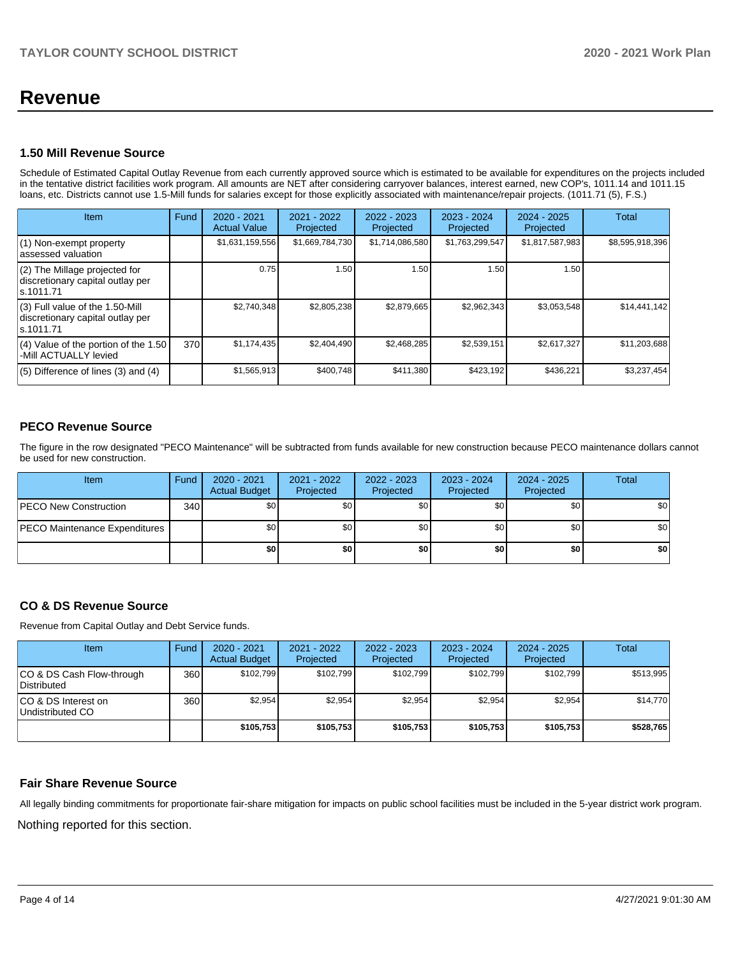## **Revenue**

## **1.50 Mill Revenue Source**

Schedule of Estimated Capital Outlay Revenue from each currently approved source which is estimated to be available for expenditures on the projects included in the tentative district facilities work program. All amounts are NET after considering carryover balances, interest earned, new COP's, 1011.14 and 1011.15 loans, etc. Districts cannot use 1.5-Mill funds for salaries except for those explicitly associated with maintenance/repair projects. (1011.71 (5), F.S.)

| Item                                                                                | Fund | $2020 - 2021$<br><b>Actual Value</b> | $2021 - 2022$<br>Projected | $2022 - 2023$<br>Projected | 2023 - 2024<br>Projected | $2024 - 2025$<br>Projected | Total           |
|-------------------------------------------------------------------------------------|------|--------------------------------------|----------------------------|----------------------------|--------------------------|----------------------------|-----------------|
| (1) Non-exempt property<br>lassessed valuation                                      |      | \$1,631,159,556                      | \$1,669,784,730            | \$1,714,086,580            | \$1,763,299,547          | \$1,817,587,983            | \$8,595,918,396 |
| (2) The Millage projected for<br>discretionary capital outlay per<br>ls.1011.71     |      | 0.75                                 | 1.50                       | 1.50                       | 1.50                     | 1.50                       |                 |
| $(3)$ Full value of the 1.50-Mill<br>discretionary capital outlay per<br>ls.1011.71 |      | \$2.740.348                          | \$2,805,238                | \$2.879.665                | \$2,962,343              | \$3,053,548                | \$14,441,142    |
| $(4)$ Value of the portion of the 1.50<br>-Mill ACTUALLY levied                     | 370  | \$1,174,435                          | \$2,404,490                | \$2,468,285                | \$2,539,151              | \$2,617,327                | \$11,203,688    |
| $(5)$ Difference of lines $(3)$ and $(4)$                                           |      | \$1,565,913                          | \$400,748                  | \$411,380                  | \$423,192                | \$436,221                  | \$3,237,454     |

## **PECO Revenue Source**

The figure in the row designated "PECO Maintenance" will be subtracted from funds available for new construction because PECO maintenance dollars cannot be used for new construction.

| <b>Item</b>                          | Fund             | 2020 - 2021<br><b>Actual Budget</b> | 2021 - 2022<br>Projected | 2022 - 2023<br>Projected | 2023 - 2024<br>Projected | 2024 - 2025<br>Projected | Total            |
|--------------------------------------|------------------|-------------------------------------|--------------------------|--------------------------|--------------------------|--------------------------|------------------|
| <b>IPECO New Construction</b>        | 340 <sup>1</sup> | \$0                                 | \$0 <sub>1</sub>         | \$0                      | \$0 <sub>1</sub>         | \$0                      | \$0              |
| <b>PECO Maintenance Expenditures</b> |                  | \$0 I                               | \$0 <sub>1</sub>         | \$0                      | \$0 <sub>1</sub>         | \$0                      | \$0 <sub>1</sub> |
|                                      |                  | \$٥                                 | \$0                      | \$0                      | \$0                      | \$0                      | \$0              |

## **CO & DS Revenue Source**

Revenue from Capital Outlay and Debt Service funds.

| <b>Item</b>                                     | Fund | $2020 - 2021$<br><b>Actual Budget</b> | $2021 - 2022$<br>Projected | $2022 - 2023$<br>Projected | $2023 - 2024$<br>Projected | $2024 - 2025$<br>Projected | Total     |
|-------------------------------------------------|------|---------------------------------------|----------------------------|----------------------------|----------------------------|----------------------------|-----------|
| CO & DS Cash Flow-through<br><b>Distributed</b> | 360  | \$102.799                             | \$102,799                  | \$102.799                  | \$102.799                  | \$102,799                  | \$513,995 |
| CO & DS Interest on<br>Undistributed CO         | 360  | \$2,954                               | \$2.954                    | \$2,954                    | \$2,954                    | \$2,954                    | \$14,770  |
|                                                 |      | \$105,753                             | \$105,753                  | \$105,753                  | \$105,753                  | \$105,753                  | \$528,765 |

#### **Fair Share Revenue Source**

Nothing reported for this section. All legally binding commitments for proportionate fair-share mitigation for impacts on public school facilities must be included in the 5-year district work program.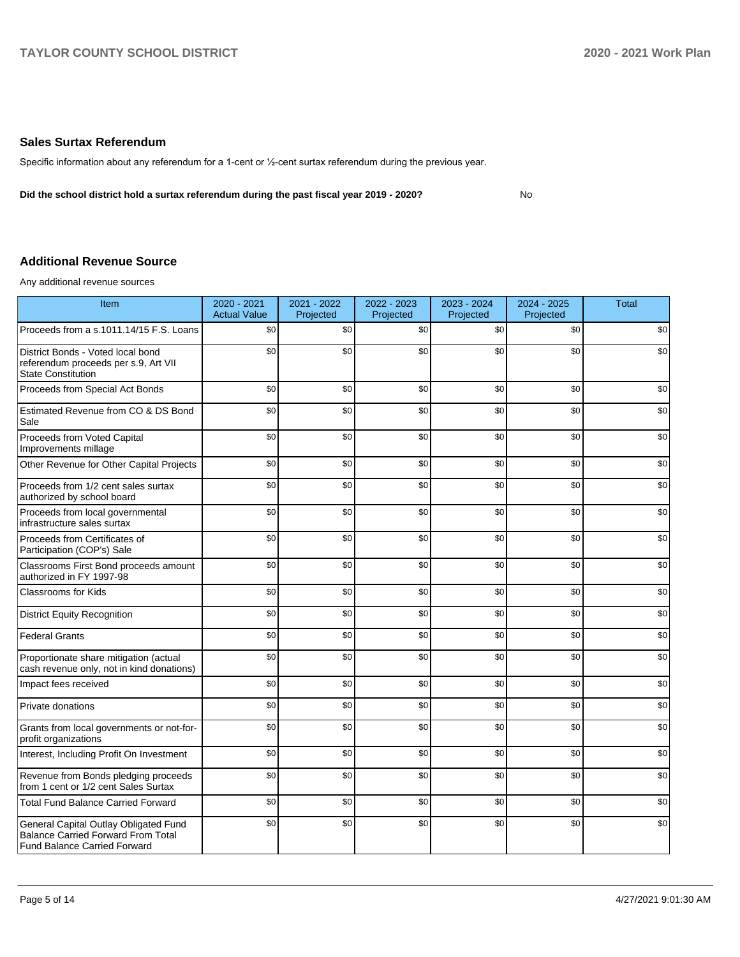### **Sales Surtax Referendum**

Specific information about any referendum for a 1-cent or ½-cent surtax referendum during the previous year.

**Did the school district hold a surtax referendum during the past fiscal year 2019 - 2020?**

No

## **Additional Revenue Source**

Any additional revenue sources

| Item                                                                                                                      | 2020 - 2021<br><b>Actual Value</b> | 2021 - 2022<br>Projected | 2022 - 2023<br>Projected | 2023 - 2024<br>Projected | 2024 - 2025<br>Projected | <b>Total</b> |
|---------------------------------------------------------------------------------------------------------------------------|------------------------------------|--------------------------|--------------------------|--------------------------|--------------------------|--------------|
| Proceeds from a s.1011.14/15 F.S. Loans                                                                                   | \$0                                | \$0                      | \$0                      | \$0                      | \$0                      | \$0          |
| District Bonds - Voted local bond<br>referendum proceeds per s.9, Art VII<br><b>State Constitution</b>                    | \$0                                | \$0                      | \$0                      | \$0                      | \$0                      | \$0          |
| Proceeds from Special Act Bonds                                                                                           | \$0                                | \$0                      | \$0                      | \$0                      | \$0                      | \$0          |
| Estimated Revenue from CO & DS Bond<br>Sale                                                                               | \$0                                | \$0                      | \$0                      | \$0                      | \$0                      | \$0          |
| Proceeds from Voted Capital<br>Improvements millage                                                                       | \$0                                | \$0                      | \$0                      | \$0                      | \$0                      | \$0          |
| Other Revenue for Other Capital Projects                                                                                  | \$0                                | \$0                      | \$0                      | \$0                      | \$0                      | \$0          |
| Proceeds from 1/2 cent sales surtax<br>authorized by school board                                                         | \$0                                | \$0                      | \$0                      | \$0                      | \$0                      | \$0          |
| Proceeds from local governmental<br>infrastructure sales surtax                                                           | \$0                                | \$0                      | \$0                      | \$0                      | \$0                      | \$0          |
| Proceeds from Certificates of<br>Participation (COP's) Sale                                                               | \$0                                | \$0                      | \$0                      | \$0                      | \$0                      | \$0          |
| Classrooms First Bond proceeds amount<br>authorized in FY 1997-98                                                         | \$0                                | \$0                      | \$0                      | \$0                      | \$0                      | \$0          |
| <b>Classrooms for Kids</b>                                                                                                | \$0                                | \$0                      | \$0                      | \$0                      | \$0                      | \$0          |
| <b>District Equity Recognition</b>                                                                                        | \$0                                | \$0                      | \$0                      | \$0                      | \$0                      | \$0          |
| <b>Federal Grants</b>                                                                                                     | \$0                                | \$0                      | \$0                      | \$0                      | \$0                      | \$0          |
| Proportionate share mitigation (actual<br>cash revenue only, not in kind donations)                                       | \$0                                | \$0                      | \$0                      | \$0                      | \$0                      | \$0          |
| Impact fees received                                                                                                      | \$0                                | \$0                      | \$0                      | \$0                      | \$0                      | \$0          |
| Private donations                                                                                                         | \$0                                | \$0                      | \$0                      | \$0                      | \$0                      | \$0          |
| Grants from local governments or not-for-<br>profit organizations                                                         | \$0                                | \$0                      | \$0                      | \$0                      | \$0                      | \$0          |
| Interest, Including Profit On Investment                                                                                  | \$0                                | \$0                      | \$0                      | \$0                      | \$0                      | \$0          |
| Revenue from Bonds pledging proceeds<br>from 1 cent or 1/2 cent Sales Surtax                                              | \$0                                | \$0                      | \$0                      | \$0                      | \$0                      | \$0          |
| <b>Total Fund Balance Carried Forward</b>                                                                                 | \$0                                | \$0                      | \$0                      | \$0                      | \$0                      | \$0          |
| General Capital Outlay Obligated Fund<br><b>Balance Carried Forward From Total</b><br><b>Fund Balance Carried Forward</b> | \$0                                | \$0                      | \$0                      | \$0                      | \$0                      | \$0          |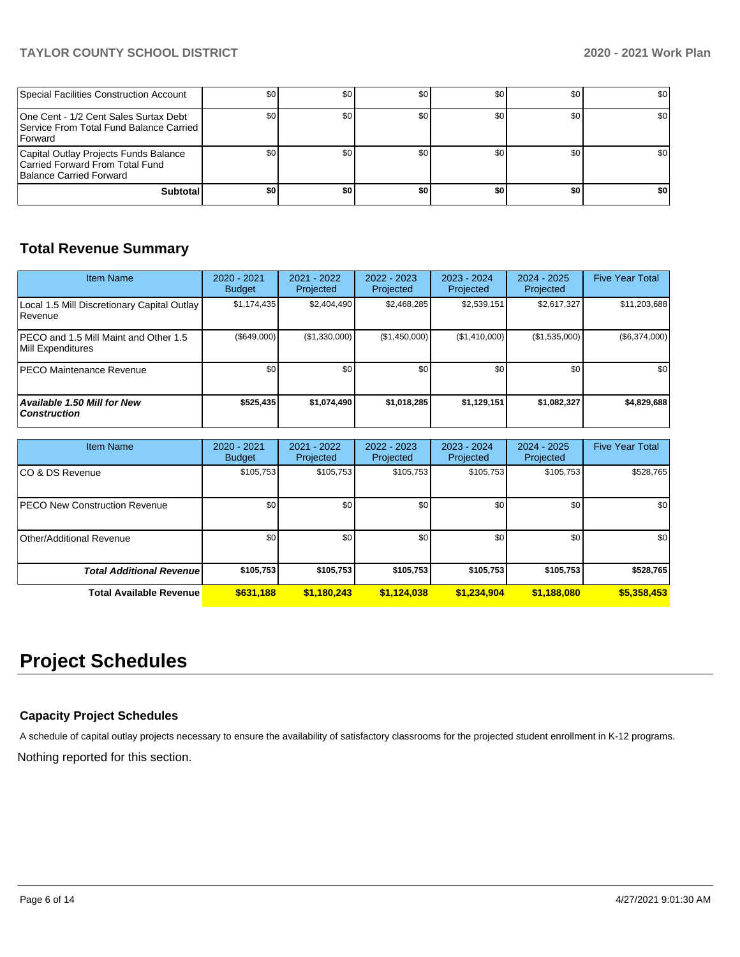## **TAYLOR COUNTY SCHOOL DISTRICT 2020 - 2021 Work Plan**

| Special Facilities Construction Account                                                             | \$0 <sub>1</sub> | \$0              | \$0 | \$0 | \$0 | \$0 |
|-----------------------------------------------------------------------------------------------------|------------------|------------------|-----|-----|-----|-----|
| One Cent - 1/2 Cent Sales Surtax Debt<br>Service From Total Fund Balance Carried<br><b>Forward</b>  | \$0              | \$0 <sub>1</sub> | \$0 | \$0 | \$0 | \$0 |
| Capital Outlay Projects Funds Balance<br>Carried Forward From Total Fund<br>Balance Carried Forward | \$0              | \$0              | \$0 | \$0 | \$0 | \$0 |
| <b>Subtotal</b>                                                                                     | \$0              | \$0              | \$0 | \$0 | \$0 | \$0 |

## **Total Revenue Summary**

| Item Name                                                     | 2020 - 2021<br><b>Budget</b> | 2021 - 2022<br>Projected | 2022 - 2023<br>Projected | $2023 - 2024$<br>Projected | $2024 - 2025$<br>Projected | <b>Five Year Total</b> |
|---------------------------------------------------------------|------------------------------|--------------------------|--------------------------|----------------------------|----------------------------|------------------------|
| Local 1.5 Mill Discretionary Capital Outlay<br><b>Revenue</b> | \$1.174.435                  | \$2.404.490              | \$2,468,285              | \$2,539,151                | \$2,617,327                | \$11,203,688           |
| PECO and 1.5 Mill Maint and Other 1.5<br>Mill Expenditures    | (\$649,000)                  | (\$1,330,000)            | (\$1,450,000)            | (\$1,410,000)              | (\$1,535,000)              | (\$6,374,000)          |
| <b>PECO Maintenance Revenue</b>                               | \$0                          | \$0                      | \$0                      | \$0 <sub>1</sub>           | \$0 <sub>1</sub>           | \$0                    |
| <b>Available 1.50 Mill for New</b><br>  Construction          | \$525,435                    | \$1,074,490              | \$1,018,285              | \$1,129,151                | \$1,082,327                | \$4,829,688            |

| <b>Item Name</b>                | 2020 - 2021<br><b>Budget</b> | $2021 - 2022$<br>Projected | 2022 - 2023<br>Projected | 2023 - 2024<br>Projected | $2024 - 2025$<br>Projected | <b>Five Year Total</b> |
|---------------------------------|------------------------------|----------------------------|--------------------------|--------------------------|----------------------------|------------------------|
| ICO & DS Revenue                | \$105,753                    | \$105,753                  | \$105,753                | \$105,753                | \$105,753                  | \$528,765              |
| PECO New Construction Revenue   | \$0 <sub>1</sub>             | \$0                        | \$0                      | \$0                      | \$0                        | \$0                    |
| Other/Additional Revenue        | \$0                          | \$0 <sub>1</sub>           | \$0                      | \$0                      | \$0                        | \$0                    |
| <b>Total Additional Revenue</b> | \$105,753                    | \$105.753                  | \$105,753                | \$105,753                | \$105,753                  | \$528,765              |
| <b>Total Available Revenue</b>  | \$631,188                    | \$1,180,243                | \$1,124,038              | \$1,234,904              | \$1,188,080                | \$5,358,453            |

# **Project Schedules**

## **Capacity Project Schedules**

A schedule of capital outlay projects necessary to ensure the availability of satisfactory classrooms for the projected student enrollment in K-12 programs.

Nothing reported for this section.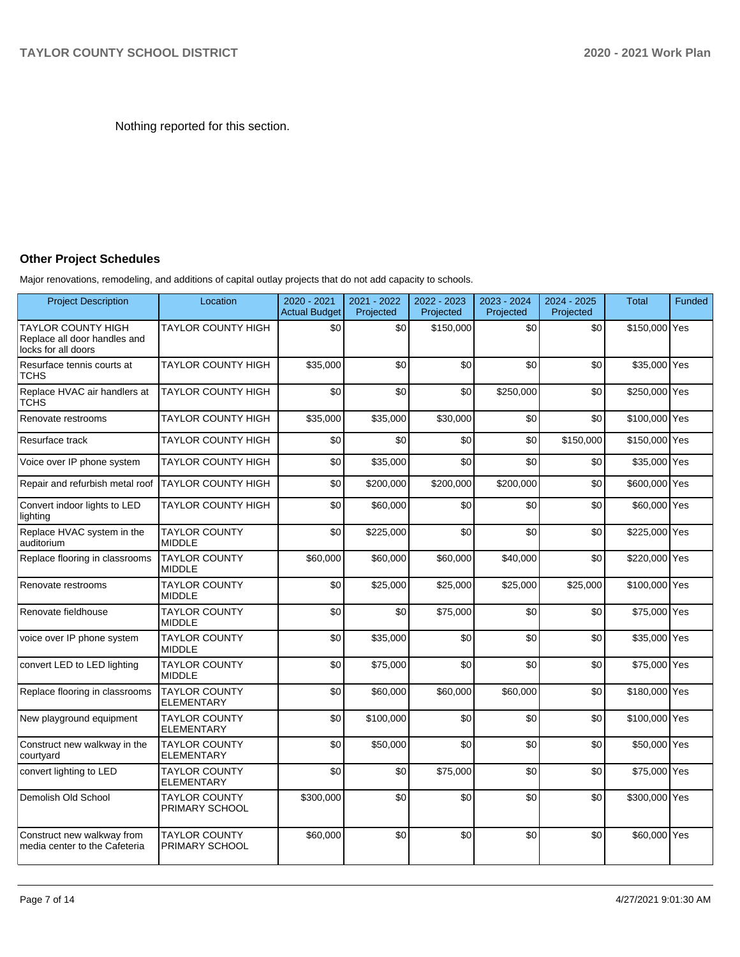Nothing reported for this section.

## **Other Project Schedules**

Major renovations, remodeling, and additions of capital outlay projects that do not add capacity to schools.

| <b>Project Description</b>                                                       | Location                                      | 2020 - 2021<br><b>Actual Budget</b> | 2021 - 2022<br>Projected | 2022 - 2023<br>Projected | 2023 - 2024<br>Projected | 2024 - 2025<br>Projected | <b>Total</b>  | Funded |
|----------------------------------------------------------------------------------|-----------------------------------------------|-------------------------------------|--------------------------|--------------------------|--------------------------|--------------------------|---------------|--------|
| <b>TAYLOR COUNTY HIGH</b><br>Replace all door handles and<br>locks for all doors | <b>TAYLOR COUNTY HIGH</b>                     | \$0                                 | \$0                      | \$150,000                | \$0                      | \$0                      | \$150,000 Yes |        |
| Resurface tennis courts at<br><b>TCHS</b>                                        | <b>TAYLOR COUNTY HIGH</b>                     | \$35,000                            | \$0                      | \$0                      | \$0                      | \$0                      | \$35,000 Yes  |        |
| Replace HVAC air handlers at<br><b>TCHS</b>                                      | <b>TAYLOR COUNTY HIGH</b>                     | \$0                                 | \$0                      | \$0                      | \$250,000                | \$0                      | \$250,000 Yes |        |
| Renovate restrooms                                                               | <b>TAYLOR COUNTY HIGH</b>                     | \$35,000                            | \$35,000                 | \$30,000                 | \$0                      | \$0                      | \$100,000 Yes |        |
| Resurface track                                                                  | <b>TAYLOR COUNTY HIGH</b>                     | \$0                                 | \$0                      | \$0                      | \$0                      | \$150,000                | \$150,000 Yes |        |
| Voice over IP phone system                                                       | <b>TAYLOR COUNTY HIGH</b>                     | \$0                                 | \$35,000                 | \$0                      | \$0                      | \$0                      | \$35,000 Yes  |        |
| Repair and refurbish metal roof                                                  | <b>TAYLOR COUNTY HIGH</b>                     | \$0                                 | \$200,000                | \$200,000                | \$200,000                | \$0                      | \$600,000 Yes |        |
| Convert indoor lights to LED<br>lighting                                         | <b>TAYLOR COUNTY HIGH</b>                     | \$0                                 | \$60,000                 | \$0                      | \$0                      | \$0                      | \$60,000 Yes  |        |
| Replace HVAC system in the<br>auditorium                                         | <b>TAYLOR COUNTY</b><br><b>MIDDLE</b>         | \$0                                 | \$225,000                | \$0                      | \$0                      | \$0                      | \$225,000 Yes |        |
| Replace flooring in classrooms                                                   | <b>TAYLOR COUNTY</b><br><b>MIDDLE</b>         | \$60,000                            | \$60,000                 | \$60,000                 | \$40,000                 | \$0                      | \$220,000 Yes |        |
| Renovate restrooms                                                               | <b>TAYLOR COUNTY</b><br><b>MIDDLE</b>         | \$0                                 | \$25,000                 | \$25,000                 | \$25,000                 | \$25,000                 | \$100,000 Yes |        |
| Renovate fieldhouse                                                              | <b>TAYLOR COUNTY</b><br><b>MIDDLE</b>         | \$0                                 | \$0                      | \$75,000                 | \$0                      | \$0                      | \$75,000 Yes  |        |
| voice over IP phone system                                                       | <b>TAYLOR COUNTY</b><br><b>MIDDLE</b>         | \$0                                 | \$35,000                 | \$0                      | \$0                      | \$0                      | \$35,000 Yes  |        |
| convert LED to LED lighting                                                      | <b>TAYLOR COUNTY</b><br><b>MIDDLE</b>         | \$0                                 | \$75,000                 | \$0                      | \$0                      | \$0                      | \$75,000 Yes  |        |
| Replace flooring in classrooms                                                   | <b>TAYLOR COUNTY</b><br><b>ELEMENTARY</b>     | \$0                                 | \$60,000                 | \$60,000                 | \$60,000                 | \$0                      | \$180,000 Yes |        |
| New playground equipment                                                         | <b>TAYLOR COUNTY</b><br><b>ELEMENTARY</b>     | \$0                                 | \$100,000                | \$0                      | \$0                      | \$0                      | \$100,000 Yes |        |
| Construct new walkway in the<br>courtyard                                        | <b>TAYLOR COUNTY</b><br><b>ELEMENTARY</b>     | \$0                                 | \$50,000                 | \$0                      | \$0                      | \$0                      | \$50,000 Yes  |        |
| convert lighting to LED                                                          | <b>TAYLOR COUNTY</b><br><b>ELEMENTARY</b>     | \$0                                 | \$0                      | \$75,000                 | \$0                      | \$0                      | \$75,000 Yes  |        |
| Demolish Old School                                                              | <b>TAYLOR COUNTY</b><br>PRIMARY SCHOOL        | \$300,000                           | \$0                      | \$0                      | \$0                      | \$0                      | \$300,000 Yes |        |
| Construct new walkway from<br>media center to the Cafeteria                      | <b>TAYLOR COUNTY</b><br><b>PRIMARY SCHOOL</b> | \$60,000                            | \$0                      | \$0                      | \$0                      | \$0                      | \$60,000 Yes  |        |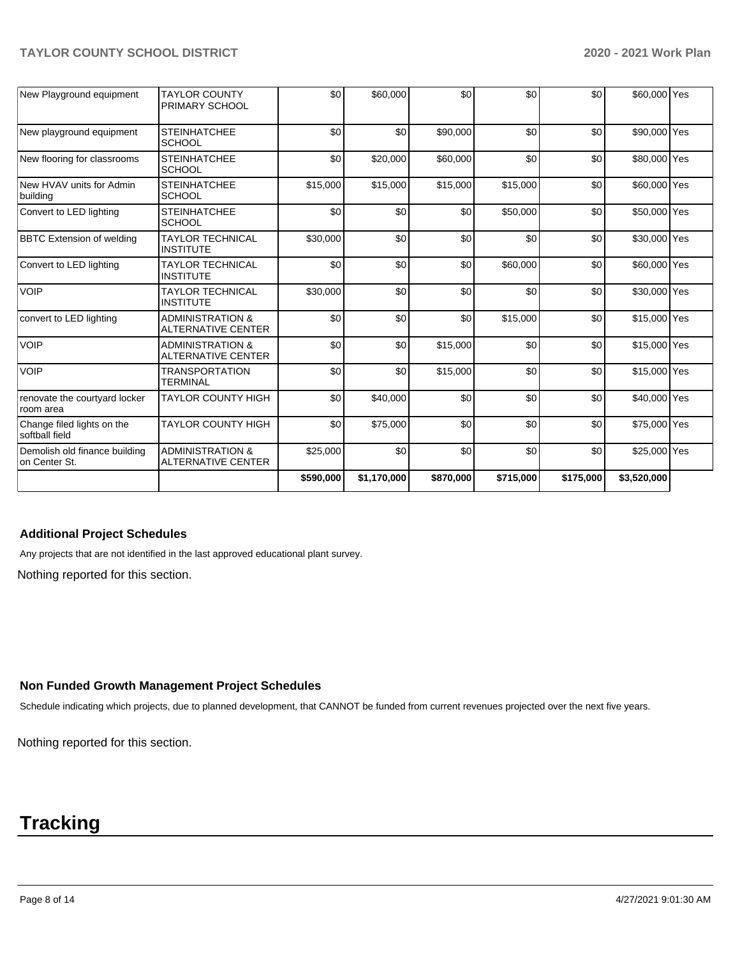## **TAYLOR COUNTY SCHOOL DISTRICT 2020 - 2021 Work Plan**

| New Playground equipment                       | <b>TAYLOR COUNTY</b><br>PRIMARY SCHOOL                   | \$0       | \$60,000    | \$0       | \$0       | \$0       | \$60,000 Yes |  |
|------------------------------------------------|----------------------------------------------------------|-----------|-------------|-----------|-----------|-----------|--------------|--|
| New playground equipment                       | <b>STEINHATCHEE</b><br><b>SCHOOL</b>                     | \$0       | \$0         | \$90,000  | \$0       | \$0       | \$90,000 Yes |  |
| New flooring for classrooms                    | <b>STEINHATCHEE</b><br><b>SCHOOL</b>                     | \$0       | \$20,000    | \$60,000  | \$0       | \$0       | \$80,000 Yes |  |
| New HVAV units for Admin<br>building           | <b>STEINHATCHEE</b><br><b>SCHOOL</b>                     | \$15,000  | \$15,000    | \$15,000  | \$15,000  | \$0       | \$60,000 Yes |  |
| Convert to LED lighting                        | <b>STEINHATCHEE</b><br><b>SCHOOL</b>                     | \$0       | \$0         | \$0       | \$50,000  | \$0       | \$50,000 Yes |  |
| <b>BBTC Extension of welding</b>               | <b>TAYLOR TECHNICAL</b><br><b>INSTITUTE</b>              | \$30,000  | \$0         | \$0       | \$0       | \$0       | \$30,000 Yes |  |
| Convert to LED lighting                        | <b>TAYLOR TECHNICAL</b><br><b>INSTITUTE</b>              | \$0       | \$0         | \$0       | \$60,000  | \$0       | \$60,000 Yes |  |
| <b>VOIP</b>                                    | <b>TAYLOR TECHNICAL</b><br><b>INSTITUTE</b>              | \$30,000  | \$0         | \$0       | \$0       | \$0       | \$30,000 Yes |  |
| convert to LED lighting                        | <b>ADMINISTRATION &amp;</b><br><b>ALTERNATIVE CENTER</b> | \$0       | \$0         | \$0       | \$15,000  | \$0       | \$15,000 Yes |  |
| <b>VOIP</b>                                    | <b>ADMINISTRATION &amp;</b><br><b>ALTERNATIVE CENTER</b> | \$0       | \$0         | \$15,000  | \$0       | \$0       | \$15,000 Yes |  |
| <b>VOIP</b>                                    | <b>TRANSPORTATION</b><br><b>TERMINAL</b>                 | \$0       | \$0         | \$15,000  | \$0       | \$0       | \$15,000 Yes |  |
| renovate the courtyard locker<br>room area     | <b>TAYLOR COUNTY HIGH</b>                                | \$0       | \$40,000    | \$0       | \$0       | \$0       | \$40,000 Yes |  |
| Change filed lights on the<br>softball field   | <b>TAYLOR COUNTY HIGH</b>                                | \$0       | \$75,000    | \$0       | \$0       | \$0       | \$75,000 Yes |  |
| Demolish old finance building<br>on Center St. | <b>ADMINISTRATION &amp;</b><br><b>ALTERNATIVE CENTER</b> | \$25,000  | \$0         | \$0       | \$0       | \$0       | \$25,000 Yes |  |
|                                                |                                                          | \$590,000 | \$1,170,000 | \$870,000 | \$715,000 | \$175,000 | \$3,520,000  |  |

## **Additional Project Schedules**

Any projects that are not identified in the last approved educational plant survey.

Nothing reported for this section.

## **Non Funded Growth Management Project Schedules**

Schedule indicating which projects, due to planned development, that CANNOT be funded from current revenues projected over the next five years.

Nothing reported for this section.

## **Tracking**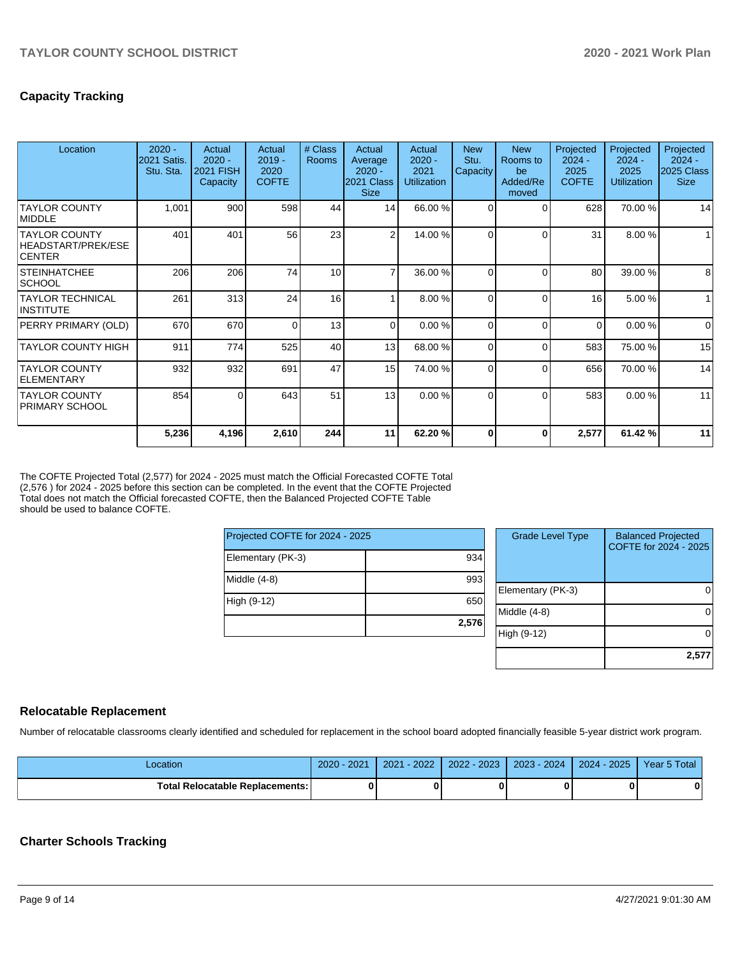## **Capacity Tracking**

| Location                                                    | $2020 -$<br>2021 Satis.<br>Stu. Sta. | Actual<br>$2020 -$<br><b>2021 FISH</b><br>Capacity | Actual<br>$2019 -$<br>2020<br><b>COFTE</b> | # Class<br><b>Rooms</b> | Actual<br>Average<br>$2020 -$<br>2021 Class<br><b>Size</b> | Actual<br>$2020 -$<br>2021<br><b>Utilization</b> | <b>New</b><br>Stu.<br>Capacity | <b>New</b><br>Rooms to<br>be<br>Added/Re<br>moved | Projected<br>$2024 -$<br>2025<br><b>COFTE</b> | Projected<br>$2024 -$<br>2025<br><b>Utilization</b> | Projected<br>$2024 -$<br>2025 Class<br><b>Size</b> |
|-------------------------------------------------------------|--------------------------------------|----------------------------------------------------|--------------------------------------------|-------------------------|------------------------------------------------------------|--------------------------------------------------|--------------------------------|---------------------------------------------------|-----------------------------------------------|-----------------------------------------------------|----------------------------------------------------|
| <b>TAYLOR COUNTY</b><br>MIDDLE                              | 1,001                                | 900                                                | 598                                        | 44                      | 14                                                         | 66.00 %                                          | 0                              | $\Omega$                                          | 628                                           | 70.00 %                                             | 14                                                 |
| <b>TAYLOR COUNTY</b><br>HEADSTART/PREK/ESE<br><b>CENTER</b> | 401                                  | 401                                                | 56                                         | 23                      | $\overline{2}$                                             | 14.00 %                                          | 0                              | $\Omega$                                          | 31                                            | 8.00 %                                              |                                                    |
| <b>STEINHATCHEE</b><br><b>SCHOOL</b>                        | 206                                  | 206                                                | 74                                         | 10                      |                                                            | 36.00 %                                          | 0                              | $\Omega$                                          | 80                                            | 39.00 %                                             | 8                                                  |
| <b>TAYLOR TECHNICAL</b><br>INSTITUTE                        | 261                                  | 313                                                | 24                                         | 16                      |                                                            | 8.00 %                                           | $\Omega$                       | $\Omega$                                          | 16                                            | 5.00 %                                              | $\mathbf{1}$                                       |
| PERRY PRIMARY (OLD)                                         | 670                                  | 670                                                | $\Omega$                                   | 13                      | $\Omega$                                                   | 0.00%                                            | 0                              | $\Omega$                                          | $\Omega$                                      | 0.00%                                               | $\mathbf 0$                                        |
| <b>TAYLOR COUNTY HIGH</b>                                   | 911                                  | 774                                                | 525                                        | 40                      | 13                                                         | 68.00 %                                          | 0                              | $\Omega$                                          | 583                                           | 75.00 %                                             | 15                                                 |
| <b>TAYLOR COUNTY</b><br>ELEMENTARY                          | 932                                  | 932                                                | 691                                        | 47                      | 15                                                         | 74.00 %                                          | $\Omega$                       | $\Omega$                                          | 656                                           | 70.00 %                                             | 14                                                 |
| <b>TAYLOR COUNTY</b><br><b>PRIMARY SCHOOL</b>               | 854                                  | 0                                                  | 643                                        | 51                      | 13                                                         | 0.00%                                            | 0                              | $\Omega$                                          | 583                                           | 0.00%                                               | 11                                                 |
|                                                             | 5,236                                | 4,196                                              | 2,610                                      | 244                     | 11                                                         | 62.20%                                           |                                | 0                                                 | 2,577                                         | 61.42%                                              | 11                                                 |

The COFTE Projected Total (2,577) for 2024 - 2025 must match the Official Forecasted COFTE Total (2,576 ) for 2024 - 2025 before this section can be completed. In the event that the COFTE Projected Total does not match the Official forecasted COFTE, then the Balanced Projected COFTE Table should be used to balance COFTE.

| Projected COFTE for 2024 - 2025 |       |  |  |  |  |  |
|---------------------------------|-------|--|--|--|--|--|
| Elementary (PK-3)               | 934   |  |  |  |  |  |
| Middle (4-8)                    | 993   |  |  |  |  |  |
| High (9-12)                     | 650   |  |  |  |  |  |
|                                 | 2,576 |  |  |  |  |  |

| <b>Grade Level Type</b> | <b>Balanced Projected</b><br>COFTE for 2024 - 2025 |
|-------------------------|----------------------------------------------------|
| Elementary (PK-3)       |                                                    |
| Middle (4-8)            |                                                    |
| High (9-12)             |                                                    |
|                         | 2,57                                               |

## **Relocatable Replacement**

Number of relocatable classrooms clearly identified and scheduled for replacement in the school board adopted financially feasible 5-year district work program.

| Location                               | 2020 - 2021 | 2021 - 2022 | 2022 - 2023 | 2023 - 2024   2024 - 2025   Year 5 Total |   |
|----------------------------------------|-------------|-------------|-------------|------------------------------------------|---|
| <b>Total Relocatable Replacements:</b> |             |             |             |                                          | 0 |

## **Charter Schools Tracking**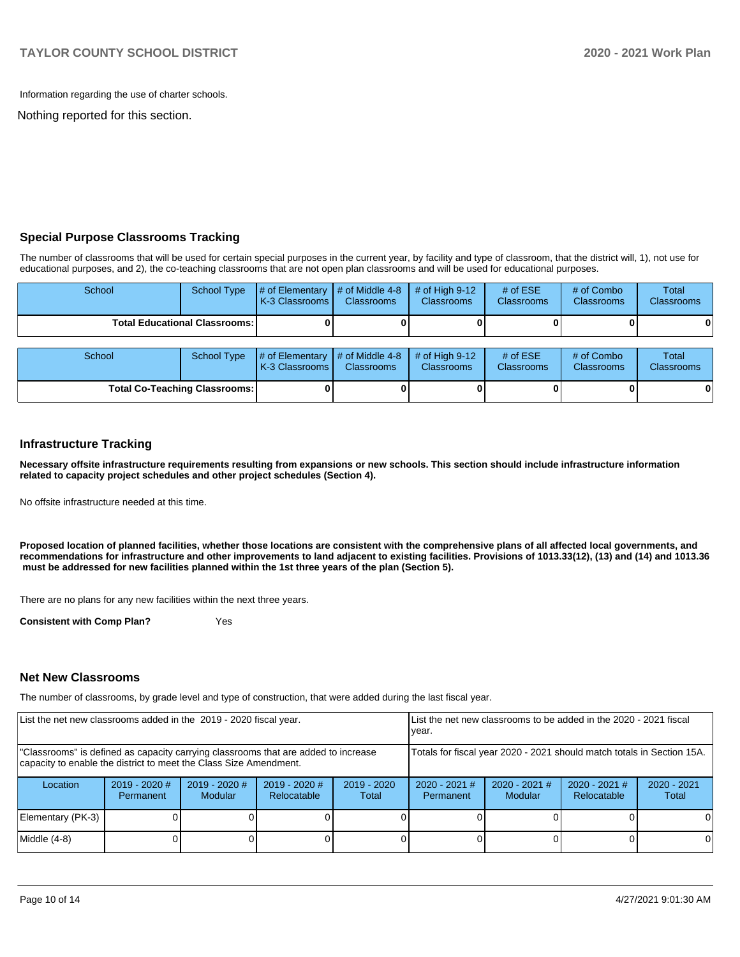Information regarding the use of charter schools.

Nothing reported for this section.

## **Special Purpose Classrooms Tracking**

The number of classrooms that will be used for certain special purposes in the current year, by facility and type of classroom, that the district will, 1), not use for educational purposes, and 2), the co-teaching classrooms that are not open plan classrooms and will be used for educational purposes.

| School | School Type                            | $\parallel \#$ of Elementary $\parallel \#$ of Middle 4-8 $\parallel \#$ of High 9-12<br><b>K-3 Classrooms I</b>                                                                                                                                                                                                                                                                       | <b>Classrooms</b> | <b>Classrooms</b>               | # of $ESE$<br><b>Classrooms</b> | # of Combo<br><b>Classrooms</b> | Total<br><b>Classrooms</b> |
|--------|----------------------------------------|----------------------------------------------------------------------------------------------------------------------------------------------------------------------------------------------------------------------------------------------------------------------------------------------------------------------------------------------------------------------------------------|-------------------|---------------------------------|---------------------------------|---------------------------------|----------------------------|
|        | <b>Total Educational Classrooms: I</b> |                                                                                                                                                                                                                                                                                                                                                                                        |                   |                                 |                                 |                                 | $\mathbf{0}$               |
|        |                                        |                                                                                                                                                                                                                                                                                                                                                                                        |                   |                                 |                                 |                                 |                            |
| School | School Type                            | $\#$ of Elementary $\#$ of Middle 4-8 $\#$ of High 9-12<br>$\mathsf{L}$ 2.0 $\mathsf{C}$ $\mathsf{L}$ $\mathsf{C}$ $\mathsf{L}$ $\mathsf{C}$ $\mathsf{L}$ $\mathsf{C}$ $\mathsf{L}$ $\mathsf{L}$ $\mathsf{C}$ $\mathsf{L}$ $\mathsf{L}$ $\mathsf{L}$ $\mathsf{L}$ $\mathsf{L}$ $\mathsf{L}$ $\mathsf{L}$ $\mathsf{L}$ $\mathsf{L}$ $\mathsf{L}$ $\mathsf{L}$ $\mathsf{L}$ $\mathsf{L}$ |                   | <b>Classics</b> College Average | # of $ESE$<br>Olanger and a     | # of Combo<br>Observe serve     | Total<br>Olanger and a     |

| School                               | School Type | # of Elementary $\vert \#$ of Middle 4-8 $\vert \#$ of High 9-12<br><b>IK-3 Classrooms L</b> | <b>Classrooms</b> | <b>Classrooms</b> | # of $ESE$<br><b>Classrooms</b> | # of Combo<br><b>Classrooms</b> | Total<br><b>Classrooms</b> |
|--------------------------------------|-------------|----------------------------------------------------------------------------------------------|-------------------|-------------------|---------------------------------|---------------------------------|----------------------------|
| <b>Total Co-Teaching Classrooms:</b> |             |                                                                                              |                   |                   |                                 | 0                               | 01                         |

#### **Infrastructure Tracking**

**Necessary offsite infrastructure requirements resulting from expansions or new schools. This section should include infrastructure information related to capacity project schedules and other project schedules (Section 4).** 

No offsite infrastructure needed at this time.

**Proposed location of planned facilities, whether those locations are consistent with the comprehensive plans of all affected local governments, and recommendations for infrastructure and other improvements to land adjacent to existing facilities. Provisions of 1013.33(12), (13) and (14) and 1013.36 must be addressed for new facilities planned within the 1st three years of the plan (Section 5).** 

There are no plans for any new facilities within the next three years.

**Consistent with Comp Plan?** Yes

#### **Net New Classrooms**

The number of classrooms, by grade level and type of construction, that were added during the last fiscal year.

| List the net new classrooms added in the 2019 - 2020 fiscal year.                                                                                       |                                                                        |                                   | List the net new classrooms to be added in the 2020 - 2021 fiscal<br>year. |                        |                              |                                   |                                |                        |
|---------------------------------------------------------------------------------------------------------------------------------------------------------|------------------------------------------------------------------------|-----------------------------------|----------------------------------------------------------------------------|------------------------|------------------------------|-----------------------------------|--------------------------------|------------------------|
| "Classrooms" is defined as capacity carrying classrooms that are added to increase<br>capacity to enable the district to meet the Class Size Amendment. | Totals for fiscal year 2020 - 2021 should match totals in Section 15A. |                                   |                                                                            |                        |                              |                                   |                                |                        |
| Location                                                                                                                                                | $2019 - 2020$ #<br>Permanent                                           | $2019 - 2020$ #<br><b>Modular</b> | $2019 - 2020$ #<br>Relocatable                                             | $2019 - 2020$<br>Total | $2020 - 2021$ #<br>Permanent | $2020 - 2021$ #<br><b>Modular</b> | $2020 - 2021$ #<br>Relocatable | $2020 - 2021$<br>Total |
| Elementary (PK-3)                                                                                                                                       |                                                                        |                                   |                                                                            |                        |                              |                                   |                                | 0                      |
| Middle (4-8)                                                                                                                                            |                                                                        |                                   |                                                                            |                        |                              |                                   |                                | 0                      |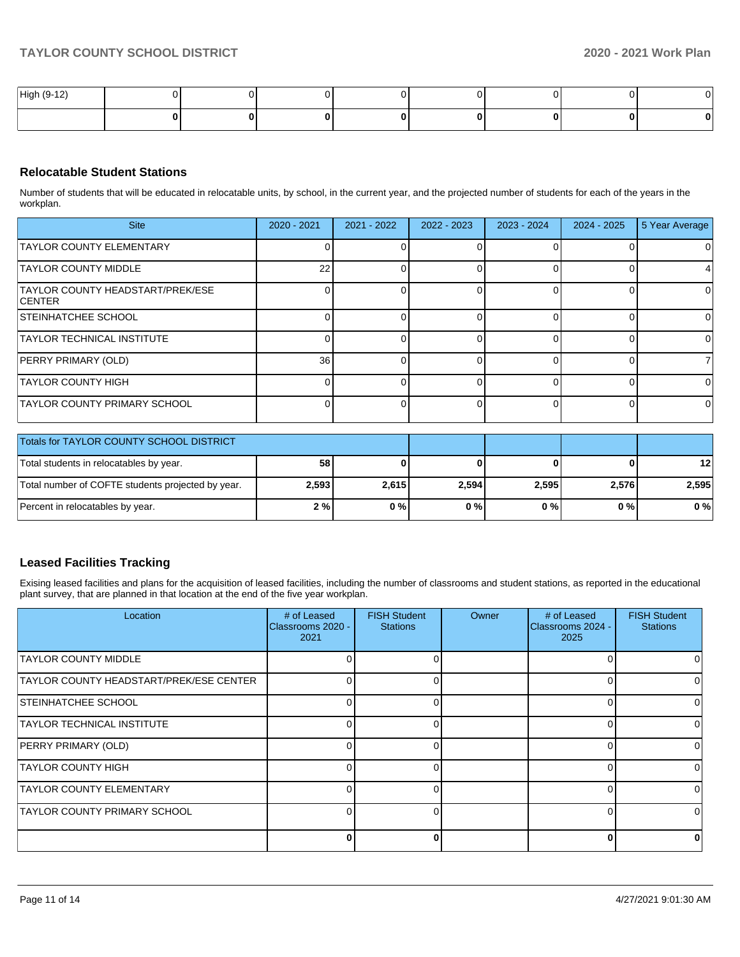| High (9-12) |  |  |  |   | . <i>.</i> |
|-------------|--|--|--|---|------------|
|             |  |  |  | 0 |            |

## **Relocatable Student Stations**

Number of students that will be educated in relocatable units, by school, in the current year, and the projected number of students for each of the years in the workplan.

| <b>Site</b>                                               | $2020 - 2021$ | $2021 - 2022$ | 2022 - 2023 | 2023 - 2024 | $2024 - 2025$ | 5 Year Average |
|-----------------------------------------------------------|---------------|---------------|-------------|-------------|---------------|----------------|
| <b>TAYLOR COUNTY ELEMENTARY</b>                           |               |               |             |             |               |                |
| <b>TAYLOR COUNTY MIDDLE</b>                               | 22            |               |             |             |               |                |
| <b>TAYLOR COUNTY HEADSTART/PREK/ESE</b><br><b>ICENTER</b> |               |               |             |             |               | <sup>0</sup>   |
| <b>STEINHATCHEE SCHOOL</b>                                |               |               |             |             |               |                |
| <b>TAYLOR TECHNICAL INSTITUTE</b>                         |               |               |             |             |               | $\Omega$       |
| PERRY PRIMARY (OLD)                                       | 36            |               |             |             |               |                |
| <b>TAYLOR COUNTY HIGH</b>                                 |               |               |             |             |               | <sup>n</sup>   |
| <b>TAYLOR COUNTY PRIMARY SCHOOL</b>                       |               |               |             |             |               | $\Omega$       |

| Totals for TAYLOR COUNTY SCHOOL DISTRICT          |       |       |       |       |       |                 |
|---------------------------------------------------|-------|-------|-------|-------|-------|-----------------|
| Total students in relocatables by year.           | 58    |       |       |       |       | 12 <sub>l</sub> |
| Total number of COFTE students projected by year. | 2,593 | 2.615 | 2,594 | 2.595 | 2.576 | 2.595           |
| Percent in relocatables by year.                  | 2%    | $0\%$ | 0%    | 0%    | 0%    | 0%              |

## **Leased Facilities Tracking**

Exising leased facilities and plans for the acquisition of leased facilities, including the number of classrooms and student stations, as reported in the educational plant survey, that are planned in that location at the end of the five year workplan.

| Location                                | # of Leased<br>Classrooms 2020 -<br>2021 | <b>FISH Student</b><br><b>Stations</b> | Owner | # of Leased<br>Classrooms 2024 -<br>2025 | <b>FISH Student</b><br><b>Stations</b> |
|-----------------------------------------|------------------------------------------|----------------------------------------|-------|------------------------------------------|----------------------------------------|
| <b>TAYLOR COUNTY MIDDLE</b>             |                                          |                                        |       | O                                        |                                        |
| TAYLOR COUNTY HEADSTART/PREK/ESE CENTER |                                          | 0                                      |       | 0                                        |                                        |
| STEINHATCHEE SCHOOL                     |                                          | O                                      |       | $\Omega$                                 |                                        |
| TAYLOR TECHNICAL INSTITUTE              |                                          |                                        |       | 0                                        |                                        |
| PERRY PRIMARY (OLD)                     |                                          | <sup>0</sup>                           |       | 0                                        | <sup>n</sup>                           |
| <b>TAYLOR COUNTY HIGH</b>               |                                          | O                                      |       | 0                                        |                                        |
| <b>TAYLOR COUNTY ELEMENTARY</b>         |                                          | 0                                      |       | 0                                        |                                        |
| TAYLOR COUNTY PRIMARY SCHOOL            |                                          |                                        |       | 0                                        |                                        |
|                                         |                                          |                                        |       | $\bf{0}$                                 |                                        |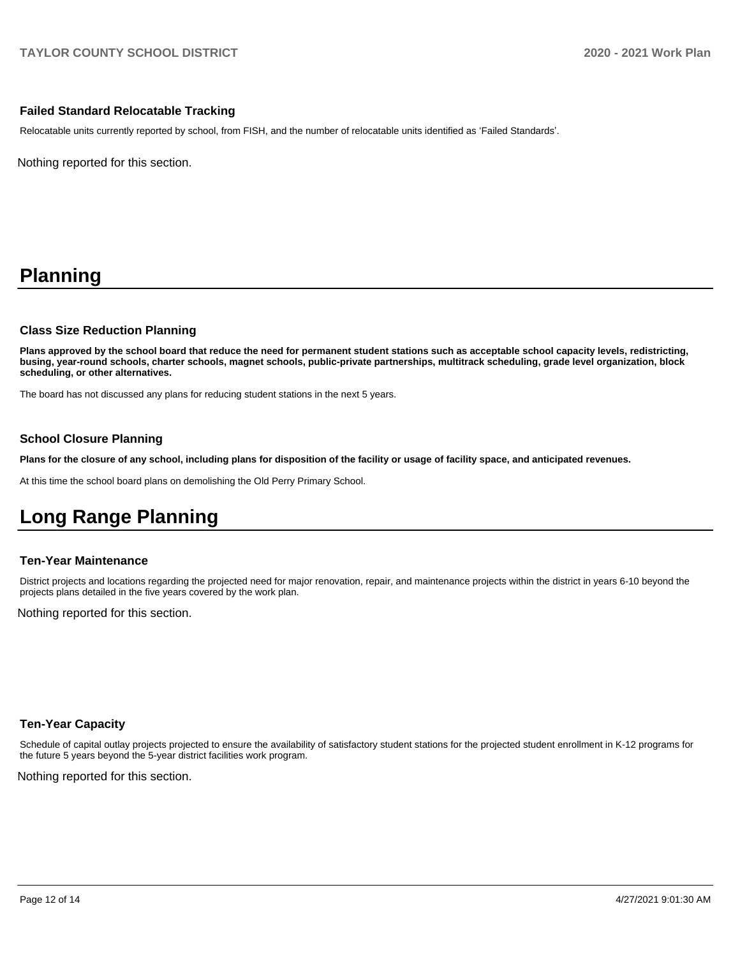## **Failed Standard Relocatable Tracking**

Relocatable units currently reported by school, from FISH, and the number of relocatable units identified as 'Failed Standards'.

Nothing reported for this section.

# **Planning**

#### **Class Size Reduction Planning**

**Plans approved by the school board that reduce the need for permanent student stations such as acceptable school capacity levels, redistricting, busing, year-round schools, charter schools, magnet schools, public-private partnerships, multitrack scheduling, grade level organization, block scheduling, or other alternatives.**

The board has not discussed any plans for reducing student stations in the next 5 years.

## **School Closure Planning**

**Plans for the closure of any school, including plans for disposition of the facility or usage of facility space, and anticipated revenues.** 

At this time the school board plans on demolishing the Old Perry Primary School.

# **Long Range Planning**

#### **Ten-Year Maintenance**

District projects and locations regarding the projected need for major renovation, repair, and maintenance projects within the district in years 6-10 beyond the projects plans detailed in the five years covered by the work plan.

Nothing reported for this section.

#### **Ten-Year Capacity**

Schedule of capital outlay projects projected to ensure the availability of satisfactory student stations for the projected student enrollment in K-12 programs for the future 5 years beyond the 5-year district facilities work program.

Nothing reported for this section.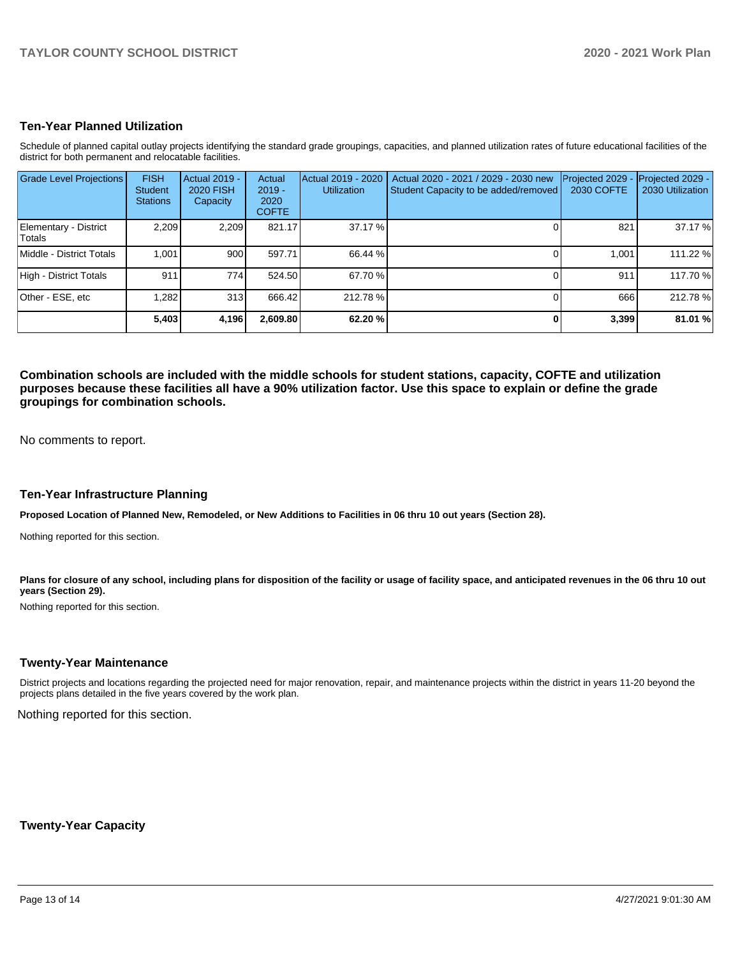## **Ten-Year Planned Utilization**

Schedule of planned capital outlay projects identifying the standard grade groupings, capacities, and planned utilization rates of future educational facilities of the district for both permanent and relocatable facilities.

| <b>Grade Level Projections</b>   | <b>FISH</b><br><b>Student</b><br><b>Stations</b> | Actual 2019 -<br><b>2020 FISH</b><br>Capacity | Actual<br>$2019 -$<br>2020<br><b>COFTE</b> | Actual 2019 - 2020<br><b>Utilization</b> | Actual 2020 - 2021 / 2029 - 2030 new<br>Student Capacity to be added/removed | Projected 2029<br><b>2030 COFTE</b> | Projected 2029 -<br>2030 Utilization |
|----------------------------------|--------------------------------------------------|-----------------------------------------------|--------------------------------------------|------------------------------------------|------------------------------------------------------------------------------|-------------------------------------|--------------------------------------|
| Elementary - District<br>lTotals | 2,209                                            | 2,209                                         | 821.17                                     | 37.17 %                                  |                                                                              | 821                                 | 37.17 %                              |
| Middle - District Totals         | 1.001                                            | 900                                           | 597.71                                     | 66.44 %                                  |                                                                              | 1.001                               | 111.22 %                             |
| High - District Totals           | 911                                              | 774                                           | 524.50                                     | 67.70 %                                  |                                                                              | 911                                 | 117.70 %                             |
| Other - ESE, etc                 | .282                                             | 313                                           | 666.42                                     | 212.78%                                  |                                                                              | 666                                 | 212.78%                              |
|                                  | 5,403                                            | 4,196                                         | 2,609.80                                   | 62.20 %                                  |                                                                              | 3,399                               | 81.01 %                              |

**Combination schools are included with the middle schools for student stations, capacity, COFTE and utilization purposes because these facilities all have a 90% utilization factor. Use this space to explain or define the grade groupings for combination schools.** 

No comments to report.

#### **Ten-Year Infrastructure Planning**

**Proposed Location of Planned New, Remodeled, or New Additions to Facilities in 06 thru 10 out years (Section 28).**

Nothing reported for this section.

Plans for closure of any school, including plans for disposition of the facility or usage of facility space, and anticipated revenues in the 06 thru 10 out **years (Section 29).**

Nothing reported for this section.

#### **Twenty-Year Maintenance**

District projects and locations regarding the projected need for major renovation, repair, and maintenance projects within the district in years 11-20 beyond the projects plans detailed in the five years covered by the work plan.

Nothing reported for this section.

**Twenty-Year Capacity**